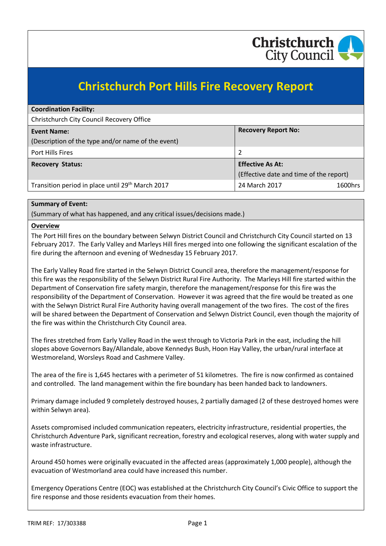

# **Christchurch Port Hills Fire Recovery Report**

| <b>Coordination Facility:</b>                      |                                         |  |
|----------------------------------------------------|-----------------------------------------|--|
| Christchurch City Council Recovery Office          |                                         |  |
| <b>Event Name:</b>                                 | <b>Recovery Report No:</b>              |  |
| (Description of the type and/or name of the event) |                                         |  |
| Port Hills Fires                                   | 2                                       |  |
| <b>Recovery Status:</b>                            | <b>Effective As At:</b>                 |  |
|                                                    | (Effective date and time of the report) |  |
| Transition period in place until 29th March 2017   | 24 March 2017<br>1600hrs                |  |

## **Summary of Event:**

(Summary of what has happened, and any critical issues/decisions made.)

## **Overview**

The Port Hill fires on the boundary between Selwyn District Council and Christchurch City Council started on 13 February 2017. The Early Valley and Marleys Hill fires merged into one following the significant escalation of the fire during the afternoon and evening of Wednesday 15 February 2017.

The Early Valley Road fire started in the Selwyn District Council area, therefore the management/response for this fire was the responsibility of the Selwyn District Rural Fire Authority. The Marleys Hill fire started within the Department of Conservation fire safety margin, therefore the management/response for this fire was the responsibility of the Department of Conservation. However it was agreed that the fire would be treated as one with the Selwyn District Rural Fire Authority having overall management of the two fires. The cost of the fires will be shared between the Department of Conservation and Selwyn District Council, even though the majority of the fire was within the Christchurch City Council area.

The fires stretched from Early Valley Road in the west through to Victoria Park in the east, including the hill slopes above Governors Bay/Allandale, above Kennedys Bush, Hoon Hay Valley, the urban/rural interface at Westmoreland, Worsleys Road and Cashmere Valley.

The area of the fire is 1,645 hectares with a perimeter of 51 kilometres. The fire is now confirmed as contained and controlled. The land management within the fire boundary has been handed back to landowners.

Primary damage included 9 completely destroyed houses, 2 partially damaged (2 of these destroyed homes were within Selwyn area).

Assets compromised included communication repeaters, electricity infrastructure, residential properties, the Christchurch Adventure Park, significant recreation, forestry and ecological reserves, along with water supply and waste infrastructure.

Around 450 homes were originally evacuated in the affected areas (approximately 1,000 people), although the evacuation of Westmorland area could have increased this number.

Emergency Operations Centre (EOC) was established at the Christchurch City Council's Civic Office to support the fire response and those residents evacuation from their homes.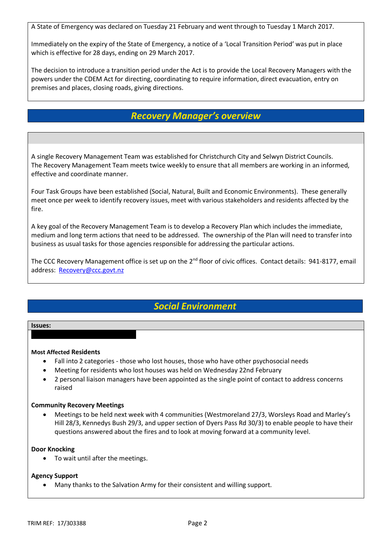A State of Emergency was declared on Tuesday 21 February and went through to Tuesday 1 March 2017.

Immediately on the expiry of the State of Emergency, a notice of a 'Local Transition Period' was put in place which is effective for 28 days, ending on 29 March 2017.

The decision to introduce a transition period under the Act is to provide the Local Recovery Managers with the powers under the CDEM Act for directing, coordinating to require information, direct evacuation, entry on premises and places, closing roads, giving directions.

## *Recovery Manager's overview*

A single Recovery Management Team was established for Christchurch City and Selwyn District Councils. The Recovery Management Team meets twice weekly to ensure that all members are working in an informed, effective and coordinate manner.

Four Task Groups have been established (Social, Natural, Built and Economic Environments). These generally meet once per week to identify recovery issues, meet with various stakeholders and residents affected by the fire.

A key goal of the Recovery Management Team is to develop a Recovery Plan which includes the immediate, medium and long term actions that need to be addressed. The ownership of the Plan will need to transfer into business as usual tasks for those agencies responsible for addressing the particular actions.

The CCC Recovery Management office is set up on the 2<sup>nd</sup> floor of civic offices. Contact details: 941-8177, email address: [Recovery@ccc.govt.nz](mailto:Recovery@ccc.govt.nz)

## *Social Environment*

### **Issues:**

## **Most Affected Residents**

- Fall into 2 categories those who lost houses, those who have other psychosocial needs
- Meeting for residents who lost houses was held on Wednesday 22nd February
- 2 personal liaison managers have been appointed as the single point of contact to address concerns raised

## **Community Recovery Meetings**

 Meetings to be held next week with 4 communities (Westmoreland 27/3, Worsleys Road and Marley's Hill 28/3, Kennedys Bush 29/3, and upper section of Dyers Pass Rd 30/3) to enable people to have their questions answered about the fires and to look at moving forward at a community level.

## **Door Knocking**

• To wait until after the meetings.

## **Agency Support**

Many thanks to the Salvation Army for their consistent and willing support.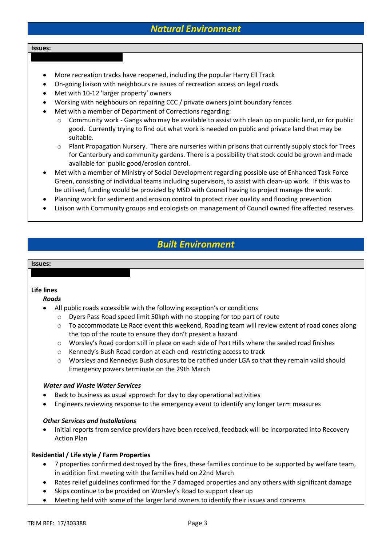## *Natural Environment*

#### **Issues:**

- More recreation tracks have reopened, including the popular Harry Ell Track
- On-going liaison with neighbours re issues of recreation access on legal roads
- Met with 10-12 'larger property' owners
- Working with neighbours on repairing CCC / private owners joint boundary fences
- Met with a member of Department of Corrections regarding:
	- o Community work Gangs who may be available to assist with clean up on public land, or for public good. Currently trying to find out what work is needed on public and private land that may be suitable.
	- $\circ$  Plant Propagation Nursery. There are nurseries within prisons that currently supply stock for Trees for Canterbury and community gardens. There is a possibility that stock could be grown and made available for 'public good/erosion control.
- Met with a member of Ministry of Social Development regarding possible use of Enhanced Task Force Green, consisting of individual teams including supervisors, to assist with clean-up work. If this was to be utilised, funding would be provided by MSD with Council having to project manage the work.
- Planning work for sediment and erosion control to protect river quality and flooding prevention
- Liaison with Community groups and ecologists on management of Council owned fire affected reserves

## *Built Environment*

#### **Issues:**

## **Life lines**

## *Roads*

- All public roads accessible with the following exception's or conditions
	- o Dyers Pass Road speed limit 50kph with no stopping for top part of route
	- o To accommodate Le Race event this weekend, Roading team will review extent of road cones along the top of the route to ensure they don't present a hazard
	- o Worsley's Road cordon still in place on each side of Port Hills where the sealed road finishes
	- o Kennedy's Bush Road cordon at each end restricting access to track
	- o Worsleys and Kennedys Bush closures to be ratified under LGA so that they remain valid should Emergency powers terminate on the 29th March

## *Water and Waste Water Services*

- Back to business as usual approach for day to day operational activities
- Engineers reviewing response to the emergency event to identify any longer term measures

## *Other Services and Installations*

• Initial reports from service providers have been received, feedback will be incorporated into Recovery Action Plan

## **Residential / Life style / Farm Properties**

- 7 properties confirmed destroyed by the fires, these families continue to be supported by welfare team, in addition first meeting with the families held on 22nd March
- Rates relief guidelines confirmed for the 7 damaged properties and any others with significant damage
- Skips continue to be provided on Worsley's Road to support clear up
- Meeting held with some of the larger land owners to identify their issues and concerns